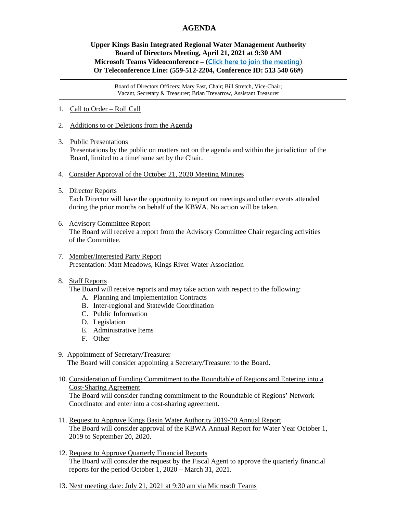## **AGENDA**

## **Upper Kings Basin Integrated Regional Water Management Authority Board of Directors Meeting, April 21, 2021 at 9:30 AM Microsoft Teams Videoconference – ([Click here to join the meeting](https://teams.microsoft.com/l/meetup-join/19%3ameeting_NDFkYTgxYzMtZjU1ZS00YmVlLWIwNmMtNzBiNTBhOTgzMmRj%40thread.v2/0?context=%7b%22Tid%22%3a%225e8da365-04e7-405e-b4b5-7eec6c65b1f4%22%2c%22Oid%22%3a%220fb939cb-3b3f-4f6b-af4d-602f4442f9b4%22%7d)**) **Or Teleconference Line: (559-512-2204, Conference ID: 513 540 66#)**

Board of Directors Officers: Mary Fast, Chair; Bill Stretch, Vice-Chair; Vacant, Secretary & Treasurer; Brian Trevarrow, Assistant Treasurer

- 1. Call to Order Roll Call
- 2. Additions to or Deletions from the Agenda
- 3. Public Presentations

Presentations by the public on matters not on the agenda and within the jurisdiction of the Board, limited to a timeframe set by the Chair.

- 4. Consider Approval of the October 21, 2020 Meeting Minutes
- 5. Director Reports

 Each Director will have the opportunity to report on meetings and other events attended during the prior months on behalf of the KBWA. No action will be taken.

- 6. Advisory Committee Report The Board will receive a report from the Advisory Committee Chair regarding activities of the Committee.
- 7. Member/Interested Party Report Presentation: Matt Meadows, Kings River Water Association

## 8. Staff Reports

The Board will receive reports and may take action with respect to the following:

- A. Planning and Implementation Contracts
- B. Inter-regional and Statewide Coordination
- C. Public Information
- D. Legislation
- E. Administrative Items
- F. Other
- 9. Appointment of Secretary/Treasurer

The Board will consider appointing a Secretary/Treasurer to the Board.

10. Consideration of Funding Commitment to the Roundtable of Regions and Entering into a Cost-Sharing Agreement

 The Board will consider funding commitment to the Roundtable of Regions' Network Coordinator and enter into a cost-sharing agreement.

- 11. Request to Approve Kings Basin Water Authority 2019-20 Annual Report The Board will consider approval of the KBWA Annual Report for Water Year October 1, 2019 to September 20, 2020.
- 12. Request to Approve Quarterly Financial Reports The Board will consider the request by the Fiscal Agent to approve the quarterly financial reports for the period October 1, 2020 – March 31, 2021.
- 13. Next meeting date: July 21, 2021 at 9:30 am via Microsoft Teams